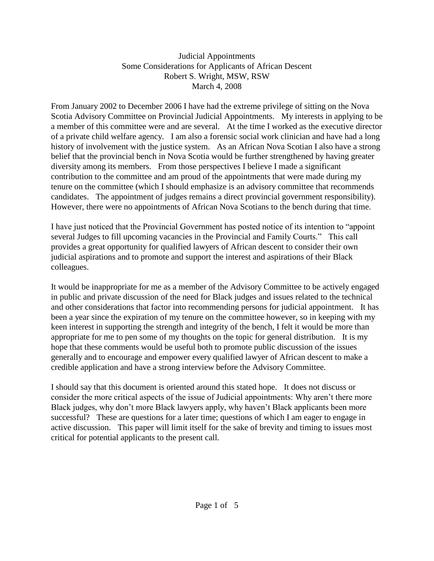## Judicial Appointments Some Considerations for Applicants of African Descent Robert S. Wright, MSW, RSW March 4, 2008

From January 2002 to December 2006 I have had the extreme privilege of sitting on the Nova Scotia Advisory Committee on Provincial Judicial Appointments. My interests in applying to be a member of this committee were and are several. At the time I worked as the executive director of a private child welfare agency. I am also a forensic social work clinician and have had a long history of involvement with the justice system. As an African Nova Scotian I also have a strong belief that the provincial bench in Nova Scotia would be further strengthened by having greater diversity among its members. From those perspectives I believe I made a significant contribution to the committee and am proud of the appointments that were made during my tenure on the committee (which I should emphasize is an advisory committee that recommends candidates. The appointment of judges remains a direct provincial government responsibility). However, there were no appointments of African Nova Scotians to the bench during that time.

I have just noticed that the Provincial Government has posted notice of its intention to "appoint several Judges to fill upcoming vacancies in the Provincial and Family Courts." This call provides a great opportunity for qualified lawyers of African descent to consider their own judicial aspirations and to promote and support the interest and aspirations of their Black colleagues.

It would be inappropriate for me as a member of the Advisory Committee to be actively engaged in public and private discussion of the need for Black judges and issues related to the technical and other considerations that factor into recommending persons for judicial appointment. It has been a year since the expiration of my tenure on the committee however, so in keeping with my keen interest in supporting the strength and integrity of the bench, I felt it would be more than appropriate for me to pen some of my thoughts on the topic for general distribution. It is my hope that these comments would be useful both to promote public discussion of the issues generally and to encourage and empower every qualified lawyer of African descent to make a credible application and have a strong interview before the Advisory Committee.

I should say that this document is oriented around this stated hope. It does not discuss or consider the more critical aspects of the issue of Judicial appointments: Why aren't there more Black judges, why don't more Black lawyers apply, why haven't Black applicants been more successful? These are questions for a later time; questions of which I am eager to engage in active discussion. This paper will limit itself for the sake of brevity and timing to issues most critical for potential applicants to the present call.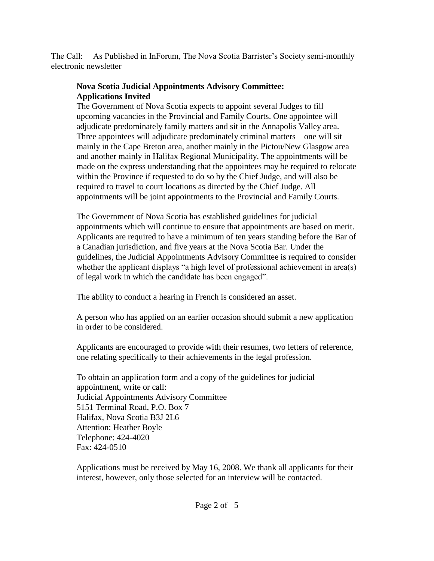The Call: As Published in InForum, The Nova Scotia Barrister's Society semi-monthly electronic newsletter

## **Nova Scotia Judicial Appointments Advisory Committee: Applications Invited**

The Government of Nova Scotia expects to appoint several Judges to fill upcoming vacancies in the Provincial and Family Courts. One appointee will adjudicate predominately family matters and sit in the Annapolis Valley area. Three appointees will adjudicate predominately criminal matters – one will sit mainly in the Cape Breton area, another mainly in the Pictou/New Glasgow area and another mainly in Halifax Regional Municipality. The appointments will be made on the express understanding that the appointees may be required to relocate within the Province if requested to do so by the Chief Judge, and will also be required to travel to court locations as directed by the Chief Judge. All appointments will be joint appointments to the Provincial and Family Courts.

The Government of Nova Scotia has established guidelines for judicial appointments which will continue to ensure that appointments are based on merit. Applicants are required to have a minimum of ten years standing before the Bar of a Canadian jurisdiction, and five years at the Nova Scotia Bar. Under the guidelines, the Judicial Appointments Advisory Committee is required to consider whether the applicant displays "a high level of professional achievement in area(s) of legal work in which the candidate has been engaged".

The ability to conduct a hearing in French is considered an asset.

A person who has applied on an earlier occasion should submit a new application in order to be considered.

Applicants are encouraged to provide with their resumes, two letters of reference, one relating specifically to their achievements in the legal profession.

To obtain an application form and a copy of the guidelines for judicial appointment, write or call: Judicial Appointments Advisory Committee 5151 Terminal Road, P.O. Box 7 Halifax, Nova Scotia B3J 2L6 Attention: Heather Boyle Telephone: 424-4020 Fax: 424-0510

Applications must be received by May 16, 2008. We thank all applicants for their interest, however, only those selected for an interview will be contacted.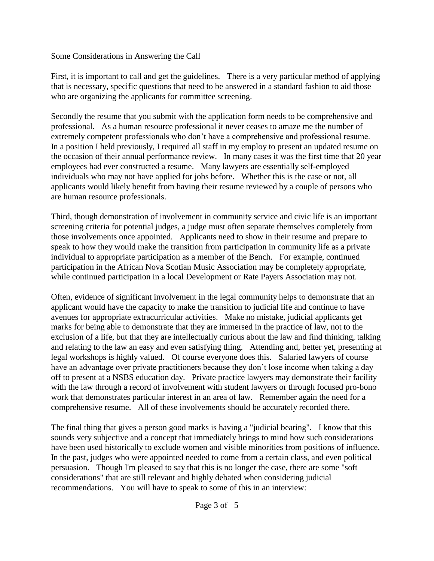Some Considerations in Answering the Call

First, it is important to call and get the guidelines. There is a very particular method of applying that is necessary, specific questions that need to be answered in a standard fashion to aid those who are organizing the applicants for committee screening.

Secondly the resume that you submit with the application form needs to be comprehensive and professional. As a human resource professional it never ceases to amaze me the number of extremely competent professionals who don't have a comprehensive and professional resume. In a position I held previously, I required all staff in my employ to present an updated resume on the occasion of their annual performance review. In many cases it was the first time that 20 year employees had ever constructed a resume. Many lawyers are essentially self-employed individuals who may not have applied for jobs before. Whether this is the case or not, all applicants would likely benefit from having their resume reviewed by a couple of persons who are human resource professionals.

Third, though demonstration of involvement in community service and civic life is an important screening criteria for potential judges, a judge must often separate themselves completely from those involvements once appointed. Applicants need to show in their resume and prepare to speak to how they would make the transition from participation in community life as a private individual to appropriate participation as a member of the Bench. For example, continued participation in the African Nova Scotian Music Association may be completely appropriate, while continued participation in a local Development or Rate Payers Association may not.

Often, evidence of significant involvement in the legal community helps to demonstrate that an applicant would have the capacity to make the transition to judicial life and continue to have avenues for appropriate extracurricular activities. Make no mistake, judicial applicants get marks for being able to demonstrate that they are immersed in the practice of law, not to the exclusion of a life, but that they are intellectually curious about the law and find thinking, talking and relating to the law an easy and even satisfying thing. Attending and, better yet, presenting at legal workshops is highly valued. Of course everyone does this. Salaried lawyers of course have an advantage over private practitioners because they don't lose income when taking a day off to present at a NSBS education day. Private practice lawyers may demonstrate their facility with the law through a record of involvement with student lawyers or through focused pro-bono work that demonstrates particular interest in an area of law. Remember again the need for a comprehensive resume. All of these involvements should be accurately recorded there.

The final thing that gives a person good marks is having a "judicial bearing". I know that this sounds very subjective and a concept that immediately brings to mind how such considerations have been used historically to exclude women and visible minorities from positions of influence. In the past, judges who were appointed needed to come from a certain class, and even political persuasion. Though I'm pleased to say that this is no longer the case, there are some "soft considerations" that are still relevant and highly debated when considering judicial recommendations. You will have to speak to some of this in an interview: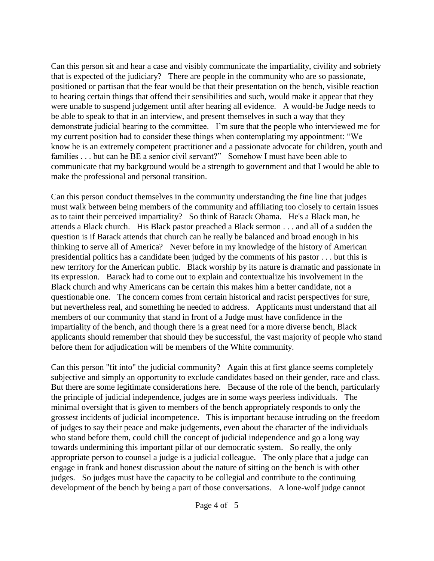Can this person sit and hear a case and visibly communicate the impartiality, civility and sobriety that is expected of the judiciary? There are people in the community who are so passionate, positioned or partisan that the fear would be that their presentation on the bench, visible reaction to hearing certain things that offend their sensibilities and such, would make it appear that they were unable to suspend judgement until after hearing all evidence. A would-be Judge needs to be able to speak to that in an interview, and present themselves in such a way that they demonstrate judicial bearing to the committee. I'm sure that the people who interviewed me for my current position had to consider these things when contemplating my appointment: "We know he is an extremely competent practitioner and a passionate advocate for children, youth and families . . . but can he BE a senior civil servant?" Somehow I must have been able to communicate that my background would be a strength to government and that I would be able to make the professional and personal transition.

Can this person conduct themselves in the community understanding the fine line that judges must walk between being members of the community and affiliating too closely to certain issues as to taint their perceived impartiality? So think of Barack Obama. He's a Black man, he attends a Black church. His Black pastor preached a Black sermon . . . and all of a sudden the question is if Barack attends that church can he really be balanced and broad enough in his thinking to serve all of America? Never before in my knowledge of the history of American presidential politics has a candidate been judged by the comments of his pastor . . . but this is new territory for the American public. Black worship by its nature is dramatic and passionate in its expression. Barack had to come out to explain and contextualize his involvement in the Black church and why Americans can be certain this makes him a better candidate, not a questionable one. The concern comes from certain historical and racist perspectives for sure, but nevertheless real, and something he needed to address. Applicants must understand that all members of our community that stand in front of a Judge must have confidence in the impartiality of the bench, and though there is a great need for a more diverse bench, Black applicants should remember that should they be successful, the vast majority of people who stand before them for adjudication will be members of the White community.

Can this person "fit into" the judicial community? Again this at first glance seems completely subjective and simply an opportunity to exclude candidates based on their gender, race and class. But there are some legitimate considerations here. Because of the role of the bench, particularly the principle of judicial independence, judges are in some ways peerless individuals. The minimal oversight that is given to members of the bench appropriately responds to only the grossest incidents of judicial incompetence. This is important because intruding on the freedom of judges to say their peace and make judgements, even about the character of the individuals who stand before them, could chill the concept of judicial independence and go a long way towards undermining this important pillar of our democratic system. So really, the only appropriate person to counsel a judge is a judicial colleague. The only place that a judge can engage in frank and honest discussion about the nature of sitting on the bench is with other judges. So judges must have the capacity to be collegial and contribute to the continuing development of the bench by being a part of those conversations. A lone-wolf judge cannot